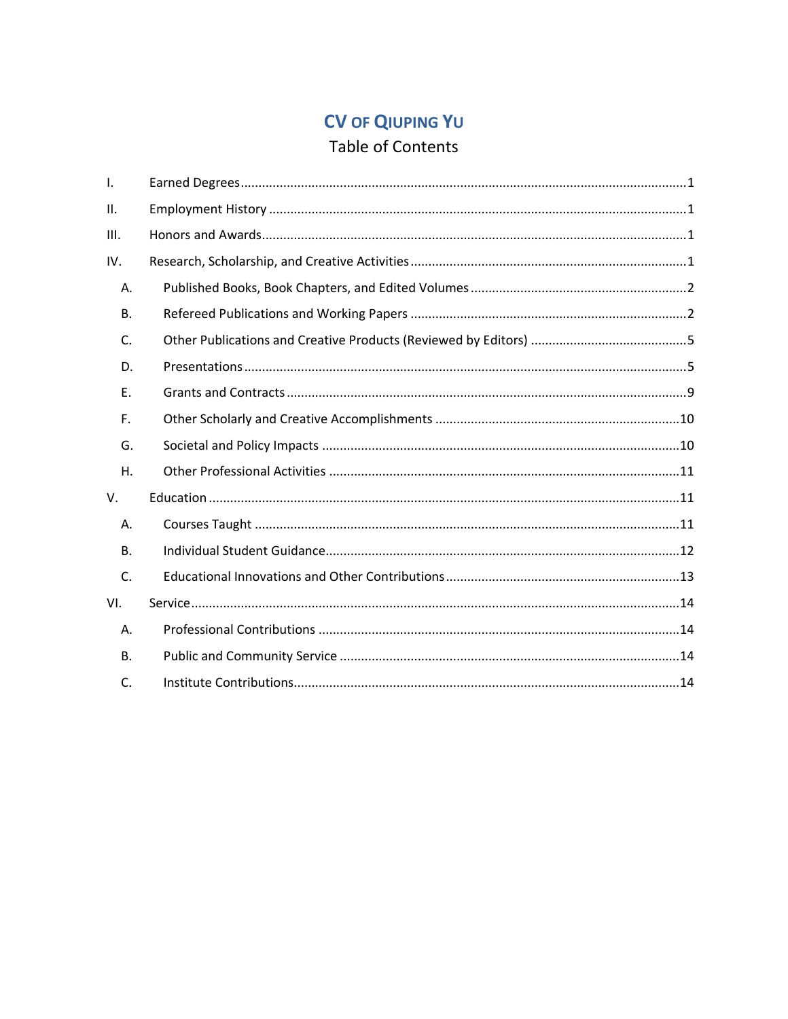# **CV OF QIUPING YU**

## Table of Contents

| I.        |  |
|-----------|--|
| ΙΙ.       |  |
| Ш.        |  |
| IV.       |  |
| А.        |  |
| <b>B.</b> |  |
| C.        |  |
| D.        |  |
| Ε.        |  |
| F.        |  |
| G.        |  |
| Η.        |  |
| V.        |  |
| Α.        |  |
| <b>B.</b> |  |
| C.        |  |
| VI.       |  |
| Α.        |  |
| B.        |  |
| C.        |  |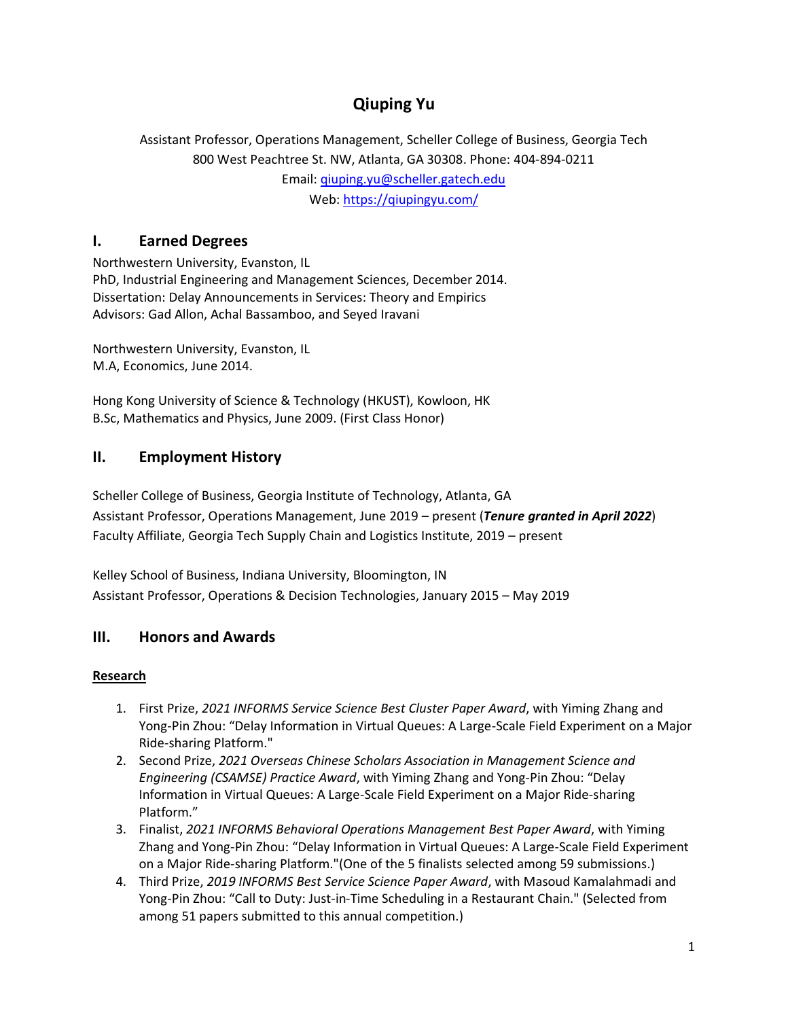## **Qiuping Yu**

Assistant Professor, Operations Management, Scheller College of Business, Georgia Tech 800 West Peachtree St. NW, Atlanta, GA 30308. Phone: 404-894-0211 Email: [qiuping.yu@scheller.gatech.edu](mailto:qiuping.yu@scheller.gatech.edu) Web[: https://qiupingyu.com/](https://qiupingyu.com/)

## <span id="page-1-0"></span>**I. Earned Degrees**

Northwestern University, Evanston, IL PhD, Industrial Engineering and Management Sciences, December 2014. Dissertation: Delay Announcements in Services: Theory and Empirics Advisors: Gad Allon, Achal Bassamboo, and Seyed Iravani

Northwestern University, Evanston, IL M.A, Economics, June 2014.

Hong Kong University of Science & Technology (HKUST), Kowloon, HK B.Sc, Mathematics and Physics, June 2009. (First Class Honor)

## <span id="page-1-1"></span>**II. Employment History**

Scheller College of Business, Georgia Institute of Technology, Atlanta, GA Assistant Professor, Operations Management, June 2019 – present (*Tenure granted in April 2022*) Faculty Affiliate, Georgia Tech Supply Chain and Logistics Institute, 2019 – present

Kelley School of Business, Indiana University, Bloomington, IN Assistant Professor, Operations & Decision Technologies, January 2015 – May 2019

## <span id="page-1-2"></span>**III. Honors and Awards**

#### <span id="page-1-3"></span>**Research**

- 1. First Prize, *2021 INFORMS Service Science Best Cluster Paper Award*, with Yiming Zhang and Yong-Pin Zhou: "Delay Information in Virtual Queues: A Large-Scale Field Experiment on a Major Ride-sharing Platform."
- 2. Second Prize, *2021 Overseas Chinese Scholars Association in Management Science and Engineering (CSAMSE) Practice Award*, with Yiming Zhang and Yong-Pin Zhou: "Delay Information in Virtual Queues: A Large-Scale Field Experiment on a Major Ride-sharing Platform."
- 3. Finalist, *2021 INFORMS Behavioral Operations Management Best Paper Award*, with Yiming Zhang and Yong-Pin Zhou: "Delay Information in Virtual Queues: A Large-Scale Field Experiment on a Major Ride-sharing Platform."(One of the 5 finalists selected among 59 submissions.)
- 4. Third Prize, *2019 INFORMS Best Service Science Paper Award*, with Masoud Kamalahmadi and Yong-Pin Zhou: "Call to Duty: Just-in-Time Scheduling in a Restaurant Chain." (Selected from among 51 papers submitted to this annual competition.)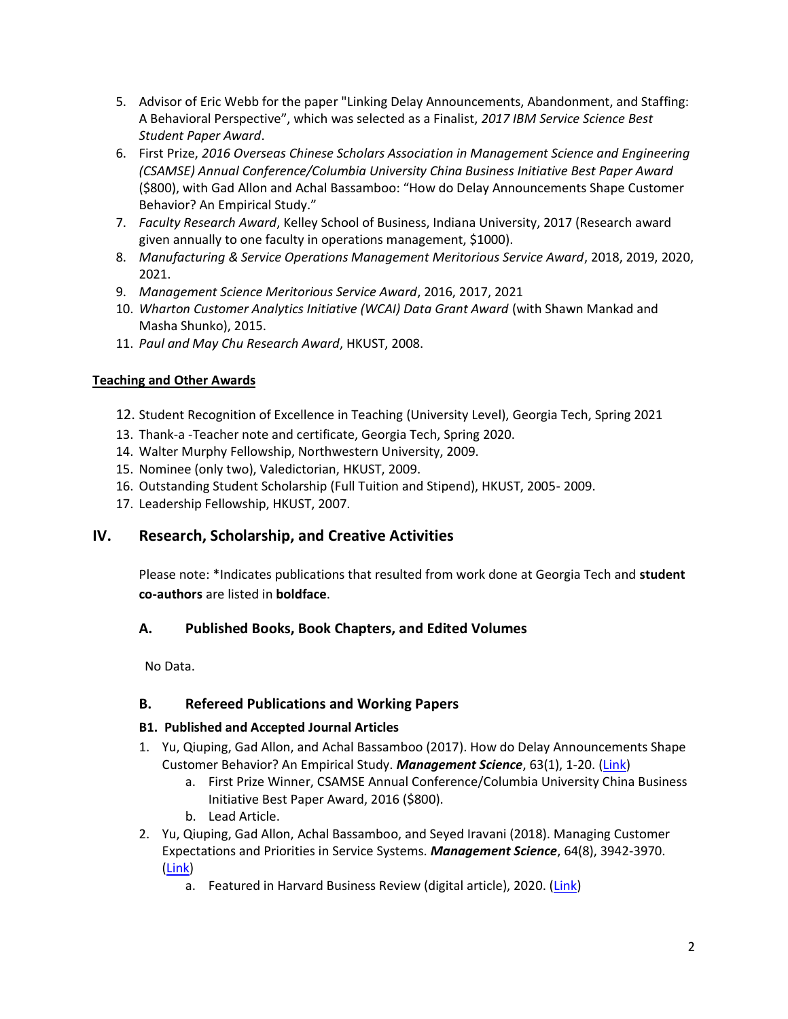- 5. Advisor of Eric Webb for the paper "Linking Delay Announcements, Abandonment, and Staffing: A Behavioral Perspective", which was selected as a Finalist, *2017 IBM Service Science Best Student Paper Award*.
- 6. First Prize, *2016 Overseas Chinese Scholars Association in Management Science and Engineering (CSAMSE) Annual Conference/Columbia University China Business Initiative Best Paper Award* (\$800), with Gad Allon and Achal Bassamboo: "How do Delay Announcements Shape Customer Behavior? An Empirical Study."
- 7. *Faculty Research Award*, Kelley School of Business, Indiana University, 2017 (Research award given annually to one faculty in operations management, \$1000).
- 8. *Manufacturing & Service Operations Management Meritorious Service Award*, 2018, 2019, 2020, 2021.
- 9. *Management Science Meritorious Service Award*, 2016, 2017, 2021
- 10. *Wharton Customer Analytics Initiative (WCAI) Data Grant Award* (with Shawn Mankad and Masha Shunko), 2015.
- 11. *Paul and May Chu Research Award*, HKUST, 2008.

## **Teaching and Other Awards**

- 12. Student Recognition of Excellence in Teaching (University Level), Georgia Tech, Spring 2021
- 13. Thank-a -Teacher note and certificate, Georgia Tech, Spring 2020.
- 14. Walter Murphy Fellowship, Northwestern University, 2009.
- 15. Nominee (only two), Valedictorian, HKUST, 2009.
- 16. Outstanding Student Scholarship (Full Tuition and Stipend), HKUST, 2005- 2009.
- 17. Leadership Fellowship, HKUST, 2007.

## **IV. Research, Scholarship, and Creative Activities**

Please note: \*Indicates publications that resulted from work done at Georgia Tech and **student co-authors** are listed in **boldface**.

## <span id="page-2-0"></span>**A. Published Books, Book Chapters, and Edited Volumes**

No Data.

## <span id="page-2-1"></span>**B. Refereed Publications and Working Papers**

#### **B1. Published and Accepted Journal Articles**

- 1. Yu, Qiuping, Gad Allon, and Achal Bassamboo (2017). How do Delay Announcements Shape Customer Behavior? An Empirical Study. *Management Science*, 63(1), 1-20. [\(Link\)](https://doi.org/10.1287/mnsc.2015.2335)
	- a. First Prize Winner, CSAMSE Annual Conference/Columbia University China Business Initiative Best Paper Award, 2016 (\$800).
	- b. Lead Article.
- 2. Yu, Qiuping, Gad Allon, Achal Bassamboo, and Seyed Iravani (2018). Managing Customer Expectations and Priorities in Service Systems. *Management Science*, 64(8), 3942-3970. [\(Link\)](https://doi.org/10.1287/mnsc.2017.2785)
	- a. Featured in Harvard Business Review (digital article), 2020. [\(Link\)](https://hbr.org/2020/10/when-providing-wait-times-it-pays-to-underpromise-and-overdeliver)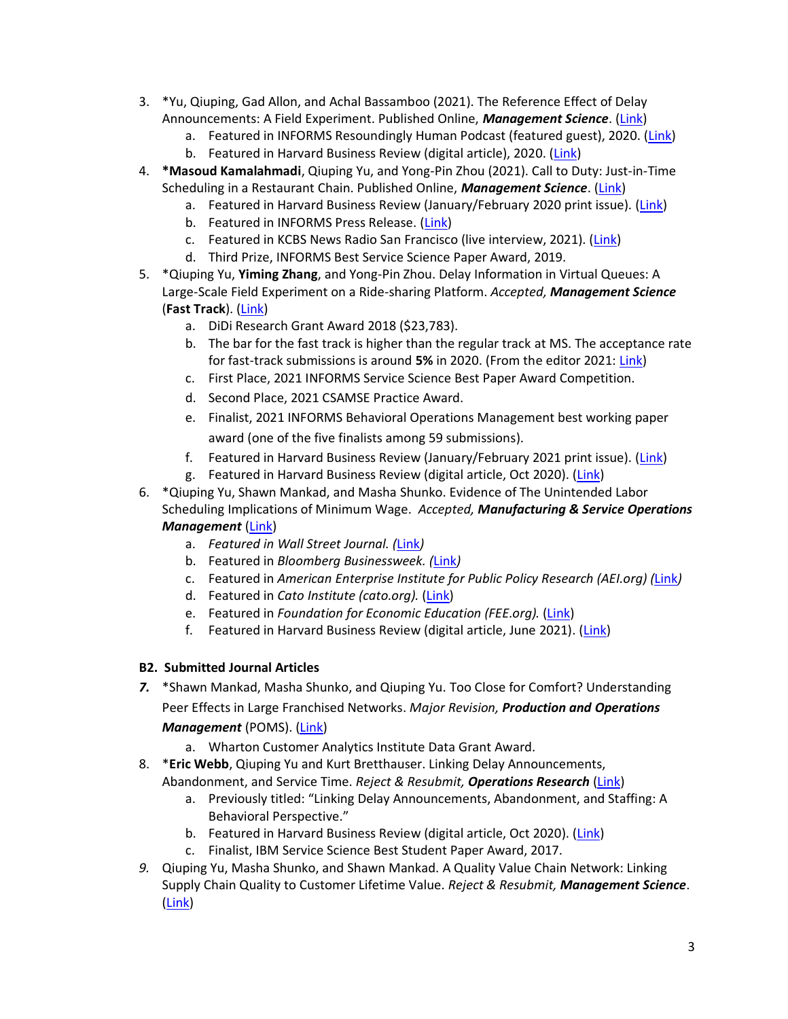- 3. \*Yu, Qiuping, Gad Allon, and Achal Bassamboo (2021). The Reference Effect of Delay Announcements: A Field Experiment. Published Online, *Management Science*. [\(Link\)](https://doi.org/10.1287/mnsc.2020.3870)
	- a. Featured in INFORMS Resoundingly Human Podcast (featured guest), 2020. [\(Link\)](https://pubsonline.informs.org/do/10.1287/orms.2020.05.30p/full/)
	- b. Featured in Harvard Business Review (digital article), 2020. [\(Link\)](https://hbr.org/2020/10/when-providing-wait-times-it-pays-to-underpromise-and-overdeliver)
- 4. **\*Masoud Kamalahmadi**, Qiuping Yu, and Yong-Pin Zhou (2021). Call to Duty: Just-in-Time Scheduling in a Restaurant Chain. Published Online, *Management Science*. [\(Link\)](https://doi.org/10.1287/mnsc.2020.3877)
	- a. Featured in Harvard Business Review (January/February 2020 print issue). [\(Link\)](https://qiupingyucom.files.wordpress.com/2021/06/the-costs-of-last-minute-scheduling.pdf)
	- b. Featured in INFORMS Press Release. [\(Link\)](https://www.informs.org/About-INFORMS/News-Room/Press-Releases/New-Research-Shows-Unpredictable-Work-Schedules-Impact-Restaurant-Revenue)
	- c. Featured in KCBS News Radio San Francisco (live interview, 2021). [\(Link\)](https://www.audacy.com/kcbsradio)
	- d. Third Prize, INFORMS Best Service Science Paper Award, 2019.
- 5. \*Qiuping Yu, **Yiming Zhang**, and Yong-Pin Zhou. Delay Information in Virtual Queues: A Large-Scale Field Experiment on a Ride-sharing Platform. *Accepted, Management Science* (**Fast Track**). [\(Link\)](https://papers.ssrn.com/sol3/papers.cfm?abstract_id=3687302)
	- a. DiDi Research Grant Award 2018 (\$23,783).
	- b. The bar for the fast track is higher than the regular track at MS. The acceptance rate for fast-track submissions is around **5%** in 2020. (From the editor 2021: [Link\)](https://pubsonline.informs.org/doi/pdf/10.1287/mnsc.2020.3926)
	- c. First Place, 2021 INFORMS Service Science Best Paper Award Competition.
	- d. Second Place, 2021 CSAMSE Practice Award.
	- e. Finalist, 2021 INFORMS Behavioral Operations Management best working paper award (one of the five finalists among 59 submissions).
	- f. Featured in Harvard Business Review (January/February 2021 print issue). [\(Link\)](https://qiupingyucom.files.wordpress.com/2020/12/a-better-way-to-manage-virtual-queues.pdf)
	- g. Featured in Harvard Business Review (digital article, Oct 2020). [\(Link\)](https://hbr.org/2020/10/when-providing-wait-times-it-pays-to-underpromise-and-overdeliver)
- 6. \*Qiuping Yu, Shawn Mankad, and Masha Shunko. Evidence of The Unintended Labor Scheduling Implications of Minimum Wage. *Accepted, Manufacturing & Service Operations Management* [\(Link\)](https://papers.ssrn.com/sol3/papers.cfm?abstract_id=3863757)
	- a. *Featured in Wall Street Journal. (*[Link](https://www.wsj.com/articles/more-hidden-costs-in-the-fight-for-15-11624401328)*)*
	- b. Featured in *Bloomberg Businessweek. (*[Link](https://www.bloomberg.com/news/articles/2021-06-23/a-higher-minimum-wage-can-lead-employers-to-lower-compensation)*)*
	- c. Featured in *American Enterprise Institute for Public Policy Research (AEI.org) (*[Link](https://www.aei.org/carpe-diem/who-d-a-thunk-it-mandated-minimum-wage-increases-have-adverse-effects-and-lead-to-lower-compensation/)*)*
	- d. Featured in *Cato Institute (cato.org).* [\(Link\)](https://www.cato.org/blog/retailers-adjust-work-schedules-offset-minimum-wage-hikes)
	- e. Featured in *Foundation for Economic Education (FEE.org).* [\(Link\)](https://fee.org/articles/harvard-business-review-minimum-wage-hikes-led-to-lower-worker-compensation-new-research-shows/)
	- f. Featured in Harvard Business Review (digital article, June 2021). [\(Link\)](https://hbr.org/2021/06/research-when-a-higher-minimum-wage-leads-to-lower-compensation)

#### **B2. Submitted Journal Articles**

- *7.* \*Shawn Mankad, Masha Shunko, and Qiuping Yu. Too Close for Comfort? Understanding Peer Effects in Large Franchised Networks. *Major Revision, Production and Operations Management* (POMS). [\(Link\)](https://privpapers.ssrn.com/sol3/papers.cfm?abstract_id=3912170)
	- a. Wharton Customer Analytics Institute Data Grant Award.
- 8. \***Eric Webb**, Qiuping Yu and Kurt Bretthauser. Linking Delay Announcements, Abandonment, and Service Time. *Reject & Resubmit, Operations Research* [\(Link\)](https://papers.ssrn.com/sol3/papers.cfm?abstract_id=3706565)
	- a. Previously titled: "Linking Delay Announcements, Abandonment, and Staffing: A Behavioral Perspective."
	- b. Featured in Harvard Business Review (digital article, Oct 2020). [\(Link\)](https://hbr.org/2020/10/when-providing-wait-times-it-pays-to-underpromise-and-overdeliver)
	- c. Finalist, IBM Service Science Best Student Paper Award, 2017.
- *9.* Qiuping Yu, Masha Shunko, and Shawn Mankad. A Quality Value Chain Network: Linking Supply Chain Quality to Customer Lifetime Value. *Reject & Resubmit, Management Science*. [\(Link\)](https://papers.ssrn.com/sol3/papers.cfm?abstract_id=2979592)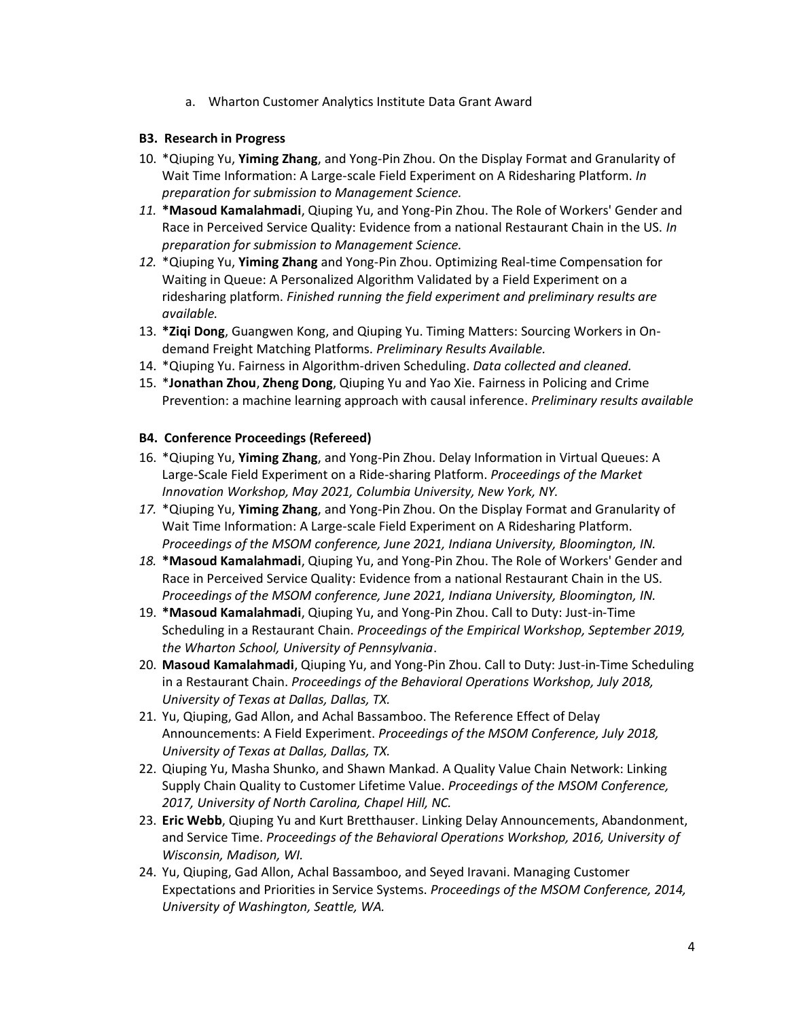a. Wharton Customer Analytics Institute Data Grant Award

#### **B3. Research in Progress**

- 10. \*Qiuping Yu, **Yiming Zhang**, and Yong-Pin Zhou. On the Display Format and Granularity of Wait Time Information: A Large-scale Field Experiment on A Ridesharing Platform. *In preparation for submission to Management Science.*
- *11.* **\*Masoud Kamalahmadi**, Qiuping Yu, and Yong-Pin Zhou. The Role of Workers' Gender and Race in Perceived Service Quality: Evidence from a national Restaurant Chain in the US. *In preparation for submission to Management Science.*
- *12.* \*Qiuping Yu, **Yiming Zhang** and Yong-Pin Zhou. Optimizing Real-time Compensation for Waiting in Queue: A Personalized Algorithm Validated by a Field Experiment on a ridesharing platform. *Finished running the field experiment and preliminary results are available.*
- 13. **\*Ziqi Dong**, Guangwen Kong, and Qiuping Yu. Timing Matters: Sourcing Workers in Ondemand Freight Matching Platforms. *Preliminary Results Available.*
- 14. \*Qiuping Yu. Fairness in Algorithm-driven Scheduling. *Data collected and cleaned.*
- 15. \***Jonathan Zhou**, **Zheng Dong**, Qiuping Yu and Yao Xie. Fairness in Policing and Crime Prevention: a machine learning approach with causal inference. *Preliminary results available*

#### **B4. Conference Proceedings (Refereed)**

- 16. \*Qiuping Yu, **Yiming Zhang**, and Yong-Pin Zhou. Delay Information in Virtual Queues: A Large-Scale Field Experiment on a Ride-sharing Platform. *Proceedings of the Market Innovation Workshop, May 2021, Columbia University, New York, NY.*
- *17.* \*Qiuping Yu, **Yiming Zhang**, and Yong-Pin Zhou. On the Display Format and Granularity of Wait Time Information: A Large-scale Field Experiment on A Ridesharing Platform. *Proceedings of the MSOM conference, June 2021, Indiana University, Bloomington, IN.*
- *18.* **\*Masoud Kamalahmadi**, Qiuping Yu, and Yong-Pin Zhou. The Role of Workers' Gender and Race in Perceived Service Quality: Evidence from a national Restaurant Chain in the US. *Proceedings of the MSOM conference, June 2021, Indiana University, Bloomington, IN.*
- 19. **\*Masoud Kamalahmadi**, Qiuping Yu, and Yong-Pin Zhou. Call to Duty: Just-in-Time Scheduling in a Restaurant Chain. *Proceedings of the Empirical Workshop, September 2019, the Wharton School, University of Pennsylvania*.
- 20. **Masoud Kamalahmadi**, Qiuping Yu, and Yong-Pin Zhou. Call to Duty: Just-in-Time Scheduling in a Restaurant Chain. *Proceedings of the Behavioral Operations Workshop, July 2018, University of Texas at Dallas, Dallas, TX.*
- 21. Yu, Qiuping, Gad Allon, and Achal Bassamboo. The Reference Effect of Delay Announcements: A Field Experiment. *Proceedings of the MSOM Conference, July 2018, University of Texas at Dallas, Dallas, TX.*
- 22. Qiuping Yu, Masha Shunko, and Shawn Mankad. A Quality Value Chain Network: Linking Supply Chain Quality to Customer Lifetime Value. *Proceedings of the MSOM Conference, 2017, University of North Carolina, Chapel Hill, NC.*
- 23. **Eric Webb**, Qiuping Yu and Kurt Bretthauser. Linking Delay Announcements, Abandonment, and Service Time. *Proceedings of the Behavioral Operations Workshop, 2016, University of Wisconsin, Madison, WI.*
- 24. Yu, Qiuping, Gad Allon, Achal Bassamboo, and Seyed Iravani. Managing Customer Expectations and Priorities in Service Systems. *Proceedings of the MSOM Conference, 2014, University of Washington, Seattle, WA.*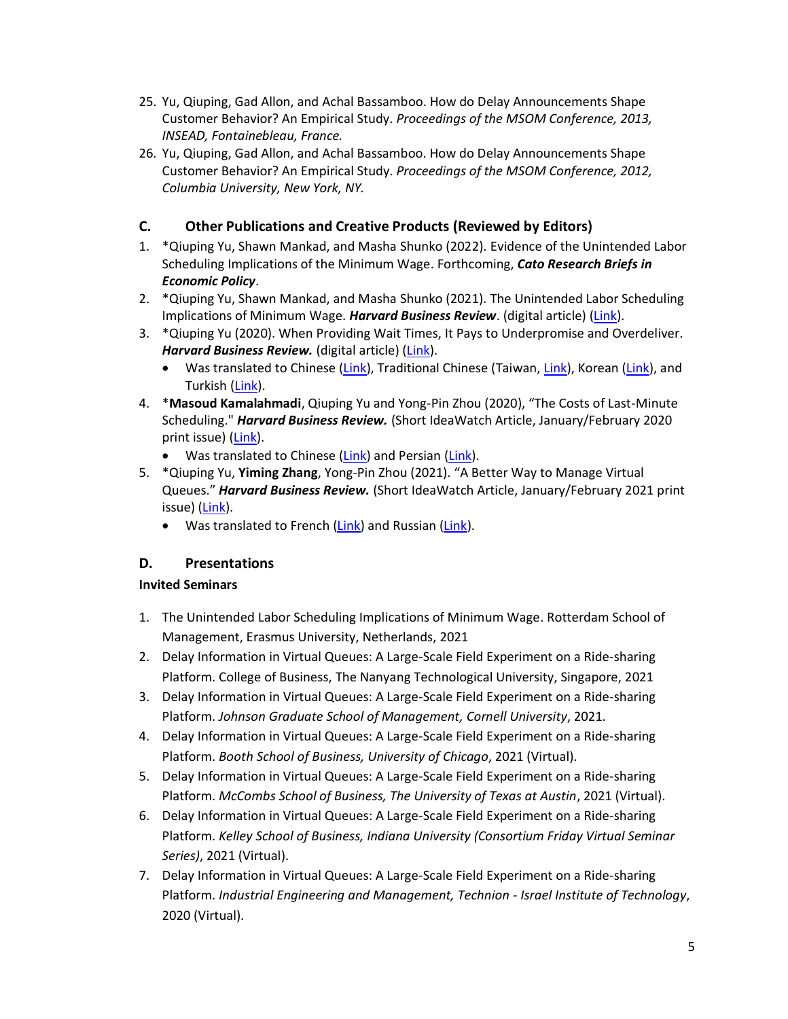- 25. Yu, Qiuping, Gad Allon, and Achal Bassamboo. How do Delay Announcements Shape Customer Behavior? An Empirical Study. *Proceedings of the MSOM Conference, 2013, INSEAD, Fontainebleau, France.*
- 26. Yu, Qiuping, Gad Allon, and Achal Bassamboo. How do Delay Announcements Shape Customer Behavior? An Empirical Study. *Proceedings of the MSOM Conference, 2012, Columbia University, New York, NY.*

## <span id="page-5-0"></span>**C. Other Publications and Creative Products (Reviewed by Editors)**

- 1. \*Qiuping Yu, Shawn Mankad, and Masha Shunko (2022). Evidence of the Unintended Labor Scheduling Implications of the Minimum Wage. Forthcoming, *Cato Research Briefs in Economic Policy*.
- 2. \*Qiuping Yu, Shawn Mankad, and Masha Shunko (2021). The Unintended Labor Scheduling Implications of Minimum Wage. *Harvard Business Review*. (digital article) [\(Link\)](https://hbr.org/2021/06/research-when-a-higher-minimum-wage-leads-to-lower-compensation#:~:text=We%20found%20that%20for%20every,benefits)%20decreased%20by%2014.9%25.).
- 3. \*Qiuping Yu (2020). When Providing Wait Times, It Pays to Underpromise and Overdeliver. *Harvard Business Review.* (digital article) [\(Link\)](https://hbr.org/2020/10/when-providing-wait-times-it-pays-to-underpromise-and-overdeliver).
	- Was translated to Chinese [\(Link\)](https://www.hbrkorea.com/article/view/atype/di/category_id/3_1/article_no/310/page/1), Traditional Chinese (Taiwan[, Link\)](https://www.hbrtaiwan.com/article_content_AR0010345.html?utm_source=rss&utm_medium=rss&utm_campaign=blog), Korean (Link), and Turkish [\(Link\)](https://hbrturkiye.com/blog/bekleme-surelerinin-belirtilenden-az-veya-fazla-taninmasi-ne-sonuclar-dogurur#.X9INTbTbJWM.linkedin).
- 4. \***Masoud Kamalahmadi**, Qiuping Yu and Yong-Pin Zhou (2020), "The Costs of Last-Minute Scheduling." *Harvard Business Review.* (Short IdeaWatch Article, January/February 2020 print issue) [\(Link\)](https://qiupingyucom.files.wordpress.com/2021/06/the-costs-of-last-minute-scheduling.pdf).
	- Was translated to Chinese [\(Link\)](https://hbr.nashrenovin.ir/ideawatch-januaryfebruary-2020/) and Persian (Link).
- 5. \*Qiuping Yu, **Yiming Zhang**, Yong-Pin Zhou (2021). "A Better Way to Manage Virtual Queues." *Harvard Business Review.* (Short IdeaWatch Article, January/February 2021 print issue) [\(Link\)](https://qiupingyucom.files.wordpress.com/2020/12/a-better-way-to-manage-virtual-queues.pdf).
	- Was translated to French [\(Link\)](https://hbr-russia.ru/innovatsii/issledovaniya/858122) and Russian (Link).

## <span id="page-5-1"></span>**D. Presentations**

#### **Invited Seminars**

- 1. The Unintended Labor Scheduling Implications of Minimum Wage. Rotterdam School of Management, Erasmus University, Netherlands, 2021
- 2. Delay Information in Virtual Queues: A Large-Scale Field Experiment on a Ride-sharing Platform. College of Business, The Nanyang Technological University, Singapore, 2021
- 3. Delay Information in Virtual Queues: A Large-Scale Field Experiment on a Ride-sharing Platform. *Johnson Graduate School of Management, Cornell University*, 2021.
- 4. Delay Information in Virtual Queues: A Large-Scale Field Experiment on a Ride-sharing Platform. *Booth School of Business, University of Chicago*, 2021 (Virtual).
- 5. Delay Information in Virtual Queues: A Large-Scale Field Experiment on a Ride-sharing Platform. *McCombs School of Business, The University of Texas at Austin*, 2021 (Virtual).
- 6. Delay Information in Virtual Queues: A Large-Scale Field Experiment on a Ride-sharing Platform. *Kelley School of Business, Indiana University (Consortium Friday Virtual Seminar Series)*, 2021 (Virtual).
- 7. Delay Information in Virtual Queues: A Large-Scale Field Experiment on a Ride-sharing Platform. *Industrial Engineering and Management, Technion - Israel Institute of Technology*, 2020 (Virtual).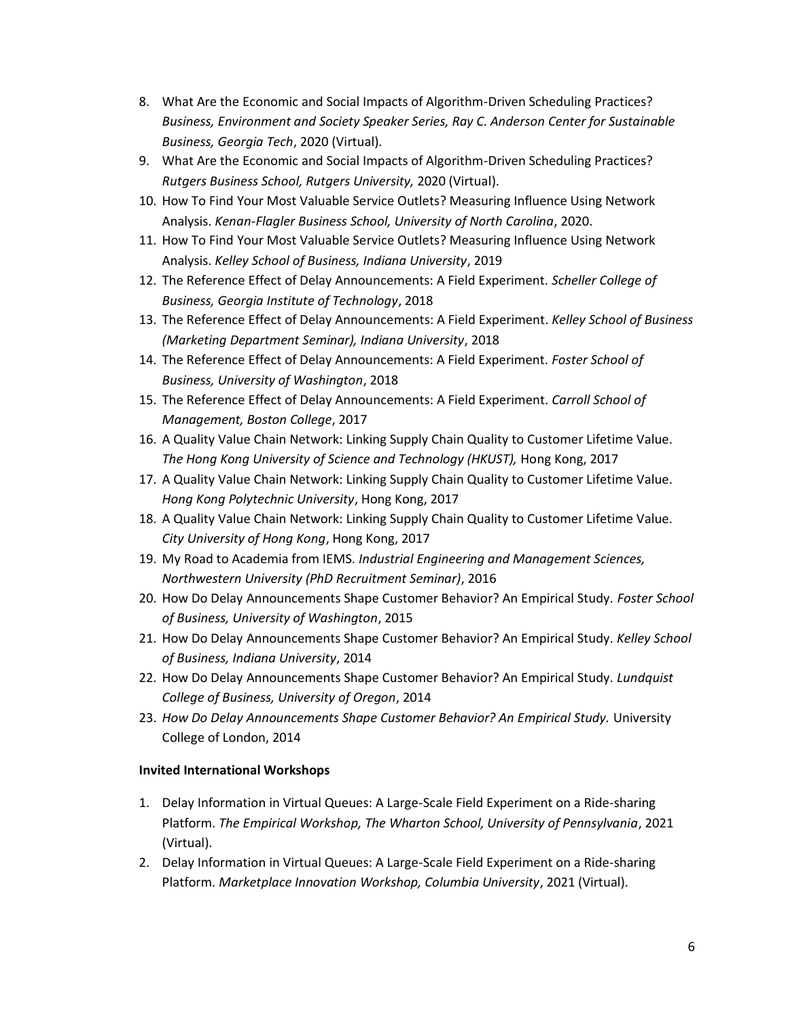- 8. What Are the Economic and Social Impacts of Algorithm-Driven Scheduling Practices? *Business, Environment and Society Speaker Series, Ray C. Anderson Center for Sustainable Business, Georgia Tech*, 2020 (Virtual).
- 9. What Are the Economic and Social Impacts of Algorithm-Driven Scheduling Practices? *Rutgers Business School, Rutgers University,* 2020 (Virtual).
- 10. How To Find Your Most Valuable Service Outlets? Measuring Influence Using Network Analysis. *Kenan-Flagler Business School, University of North Carolina*, 2020.
- 11. How To Find Your Most Valuable Service Outlets? Measuring Influence Using Network Analysis. *Kelley School of Business, Indiana University*, 2019
- 12. The Reference Effect of Delay Announcements: A Field Experiment. *Scheller College of Business, Georgia Institute of Technology*, 2018
- 13. The Reference Effect of Delay Announcements: A Field Experiment. *Kelley School of Business (Marketing Department Seminar), Indiana University*, 2018
- 14. The Reference Effect of Delay Announcements: A Field Experiment. *Foster School of Business, University of Washington*, 2018
- 15. The Reference Effect of Delay Announcements: A Field Experiment. *Carroll School of Management, Boston College*, 2017
- 16. A Quality Value Chain Network: Linking Supply Chain Quality to Customer Lifetime Value. *The Hong Kong University of Science and Technology (HKUST),* Hong Kong, 2017
- 17. A Quality Value Chain Network: Linking Supply Chain Quality to Customer Lifetime Value. *Hong Kong Polytechnic University*, Hong Kong, 2017
- 18. A Quality Value Chain Network: Linking Supply Chain Quality to Customer Lifetime Value. *City University of Hong Kong*, Hong Kong, 2017
- 19. My Road to Academia from IEMS. *Industrial Engineering and Management Sciences, Northwestern University (PhD Recruitment Seminar)*, 2016
- 20. How Do Delay Announcements Shape Customer Behavior? An Empirical Study. *Foster School of Business, University of Washington*, 2015
- 21. How Do Delay Announcements Shape Customer Behavior? An Empirical Study. *Kelley School of Business, Indiana University*, 2014
- 22. How Do Delay Announcements Shape Customer Behavior? An Empirical Study. *Lundquist College of Business, University of Oregon*, 2014
- 23. *How Do Delay Announcements Shape Customer Behavior? An Empirical Study.* University College of London, 2014

#### **Invited International Workshops**

- 1. Delay Information in Virtual Queues: A Large-Scale Field Experiment on a Ride-sharing Platform. *The Empirical Workshop, The Wharton School, University of Pennsylvania*, 2021 (Virtual).
- 2. Delay Information in Virtual Queues: A Large-Scale Field Experiment on a Ride-sharing Platform. *Marketplace Innovation Workshop, Columbia University*, 2021 (Virtual).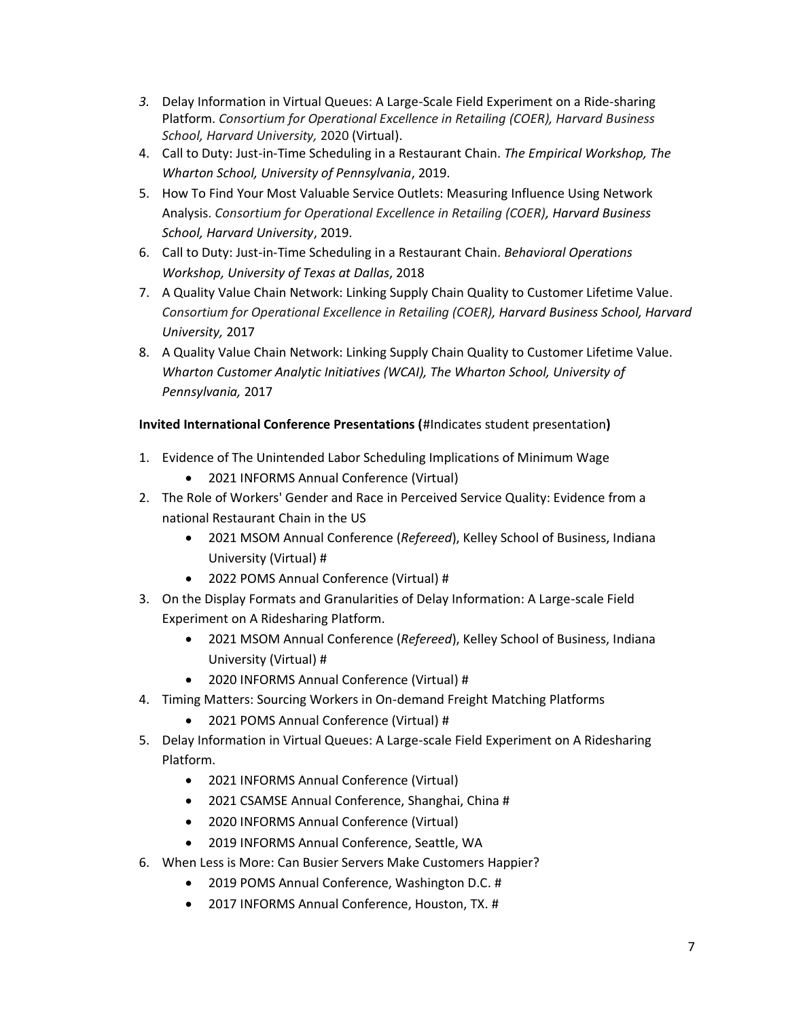- *3.* Delay Information in Virtual Queues: A Large-Scale Field Experiment on a Ride-sharing Platform. *Consortium for Operational Excellence in Retailing (COER), Harvard Business School, Harvard University,* 2020 (Virtual).
- 4. Call to Duty: Just-in-Time Scheduling in a Restaurant Chain. *The Empirical Workshop, The Wharton School, University of Pennsylvania*, 2019.
- 5. How To Find Your Most Valuable Service Outlets: Measuring Influence Using Network Analysis. *Consortium for Operational Excellence in Retailing (COER), Harvard Business School, Harvard University*, 2019.
- 6. Call to Duty: Just-in-Time Scheduling in a Restaurant Chain. *Behavioral Operations Workshop, University of Texas at Dallas*, 2018
- 7. A Quality Value Chain Network: Linking Supply Chain Quality to Customer Lifetime Value. *Consortium for Operational Excellence in Retailing (COER), Harvard Business School, Harvard University,* 2017
- 8. A Quality Value Chain Network: Linking Supply Chain Quality to Customer Lifetime Value. *Wharton Customer Analytic Initiatives (WCAI), The Wharton School, University of Pennsylvania,* 2017

## **Invited International Conference Presentations (**#Indicates student presentation**)**

- 1. Evidence of The Unintended Labor Scheduling Implications of Minimum Wage
	- 2021 INFORMS Annual Conference (Virtual)
- 2. The Role of Workers' Gender and Race in Perceived Service Quality: Evidence from a national Restaurant Chain in the US
	- 2021 MSOM Annual Conference (*Refereed*), Kelley School of Business, Indiana University (Virtual) #
	- 2022 POMS Annual Conference (Virtual) #
- 3. On the Display Formats and Granularities of Delay Information: A Large-scale Field Experiment on A Ridesharing Platform.
	- 2021 MSOM Annual Conference (*Refereed*), Kelley School of Business, Indiana University (Virtual) #
	- 2020 INFORMS Annual Conference (Virtual) #
- 4. Timing Matters: Sourcing Workers in On-demand Freight Matching Platforms
	- 2021 POMS Annual Conference (Virtual) #
- 5. Delay Information in Virtual Queues: A Large-scale Field Experiment on A Ridesharing Platform.
	- 2021 INFORMS Annual Conference (Virtual)
	- 2021 CSAMSE Annual Conference, Shanghai, China #
	- 2020 INFORMS Annual Conference (Virtual)
	- 2019 INFORMS Annual Conference, Seattle, WA
- 6. When Less is More: Can Busier Servers Make Customers Happier?
	- 2019 POMS Annual Conference, Washington D.C. #
	- 2017 INFORMS Annual Conference, Houston, TX. #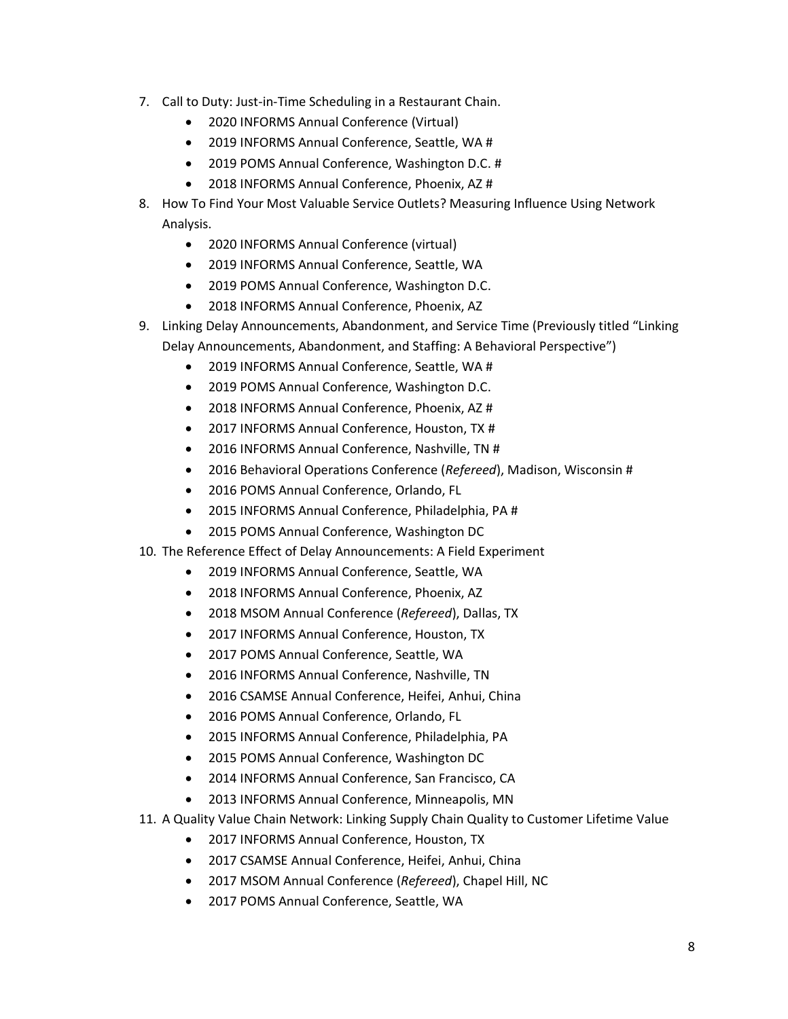- 7. Call to Duty: Just-in-Time Scheduling in a Restaurant Chain.
	- 2020 INFORMS Annual Conference (Virtual)
	- 2019 INFORMS Annual Conference, Seattle, WA #
	- 2019 POMS Annual Conference, Washington D.C. #
	- 2018 INFORMS Annual Conference, Phoenix, AZ #
- 8. How To Find Your Most Valuable Service Outlets? Measuring Influence Using Network Analysis.
	- 2020 INFORMS Annual Conference (virtual)
	- 2019 INFORMS Annual Conference, Seattle, WA
	- 2019 POMS Annual Conference, Washington D.C.
	- 2018 INFORMS Annual Conference, Phoenix, AZ
- 9. Linking Delay Announcements, Abandonment, and Service Time (Previously titled "Linking Delay Announcements, Abandonment, and Staffing: A Behavioral Perspective")
	- 2019 INFORMS Annual Conference, Seattle, WA #
	- 2019 POMS Annual Conference, Washington D.C.
	- 2018 INFORMS Annual Conference, Phoenix, AZ #
	- 2017 INFORMS Annual Conference, Houston, TX #
	- 2016 INFORMS Annual Conference, Nashville, TN #
	- 2016 Behavioral Operations Conference (*Refereed*), Madison, Wisconsin #
	- 2016 POMS Annual Conference, Orlando, FL
	- 2015 INFORMS Annual Conference, Philadelphia, PA #
	- 2015 POMS Annual Conference, Washington DC
- 10. The Reference Effect of Delay Announcements: A Field Experiment
	- 2019 INFORMS Annual Conference, Seattle, WA
	- 2018 INFORMS Annual Conference, Phoenix, AZ
	- 2018 MSOM Annual Conference (*Refereed*), Dallas, TX
	- 2017 INFORMS Annual Conference, Houston, TX
	- 2017 POMS Annual Conference, Seattle, WA
	- 2016 INFORMS Annual Conference, Nashville, TN
	- 2016 CSAMSE Annual Conference, Heifei, Anhui, China
	- 2016 POMS Annual Conference, Orlando, FL
	- 2015 INFORMS Annual Conference, Philadelphia, PA
	- 2015 POMS Annual Conference, Washington DC
	- 2014 INFORMS Annual Conference, San Francisco, CA
	- 2013 INFORMS Annual Conference, Minneapolis, MN
- 11. A Quality Value Chain Network: Linking Supply Chain Quality to Customer Lifetime Value
	- 2017 INFORMS Annual Conference, Houston, TX
	- 2017 CSAMSE Annual Conference, Heifei, Anhui, China
	- 2017 MSOM Annual Conference (*Refereed*), Chapel Hill, NC
	- 2017 POMS Annual Conference, Seattle, WA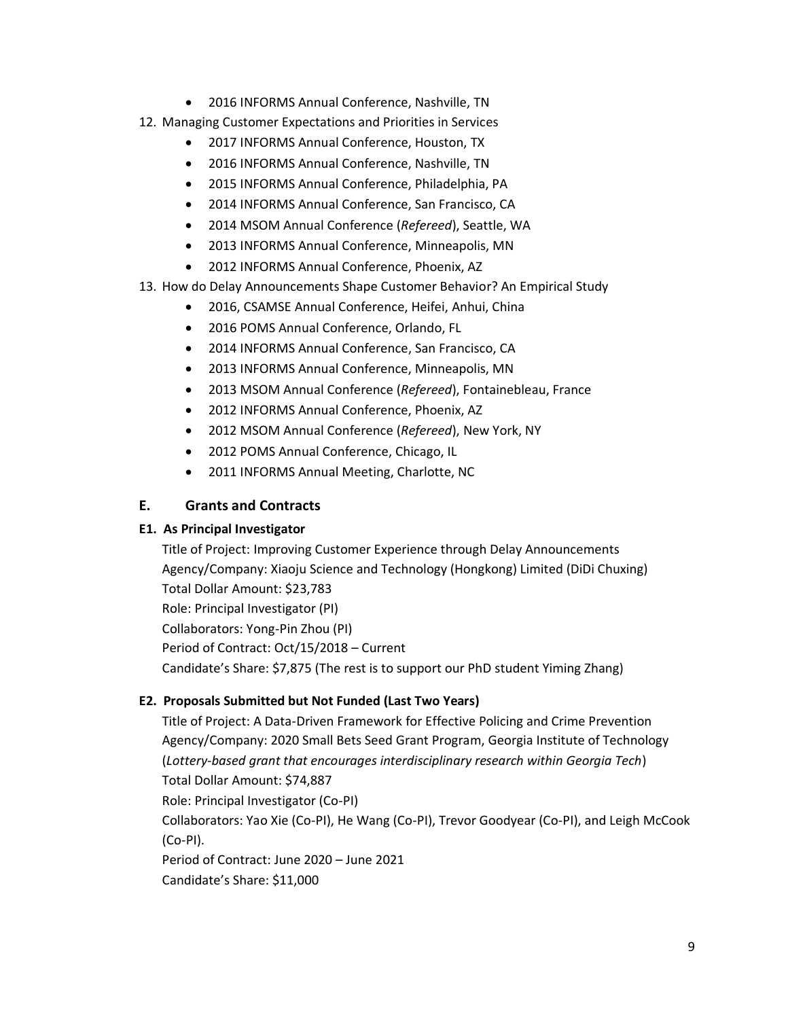- 2016 INFORMS Annual Conference, Nashville, TN
- 12. Managing Customer Expectations and Priorities in Services
	- 2017 INFORMS Annual Conference, Houston, TX
	- 2016 INFORMS Annual Conference, Nashville, TN
	- 2015 INFORMS Annual Conference, Philadelphia, PA
	- 2014 INFORMS Annual Conference, San Francisco, CA
	- 2014 MSOM Annual Conference (*Refereed*), Seattle, WA
	- 2013 INFORMS Annual Conference, Minneapolis, MN
	- 2012 INFORMS Annual Conference, Phoenix, AZ
- 13. How do Delay Announcements Shape Customer Behavior? An Empirical Study
	- 2016, CSAMSE Annual Conference, Heifei, Anhui, China
	- 2016 POMS Annual Conference, Orlando, FL
	- 2014 INFORMS Annual Conference, San Francisco, CA
	- 2013 INFORMS Annual Conference, Minneapolis, MN
	- 2013 MSOM Annual Conference (*Refereed*), Fontainebleau, France
	- 2012 INFORMS Annual Conference, Phoenix, AZ
	- 2012 MSOM Annual Conference (*Refereed*), New York, NY
	- 2012 POMS Annual Conference, Chicago, IL
	- 2011 INFORMS Annual Meeting, Charlotte, NC

## <span id="page-9-0"></span>**E. Grants and Contracts**

#### **E1. As Principal Investigator**

Title of Project: Improving Customer Experience through Delay Announcements Agency/Company: Xiaoju Science and Technology (Hongkong) Limited (DiDi Chuxing) Total Dollar Amount: \$23,783 Role: Principal Investigator (PI) Collaborators: Yong-Pin Zhou (PI) Period of Contract: Oct/15/2018 – Current Candidate's Share: \$7,875 (The rest is to support our PhD student Yiming Zhang)

## **E2. Proposals Submitted but Not Funded (Last Two Years)**

Title of Project: A Data-Driven Framework for Effective Policing and Crime Prevention Agency/Company: 2020 Small Bets Seed Grant Program, Georgia Institute of Technology (*Lottery-based grant that encourages interdisciplinary research within Georgia Tech*) Total Dollar Amount: \$74,887 Role: Principal Investigator (Co-PI) Collaborators: Yao Xie (Co-PI), He Wang (Co-PI), Trevor Goodyear (Co-PI), and Leigh McCook (Co-PI). Period of Contract: June 2020 – June 2021 Candidate's Share: \$11,000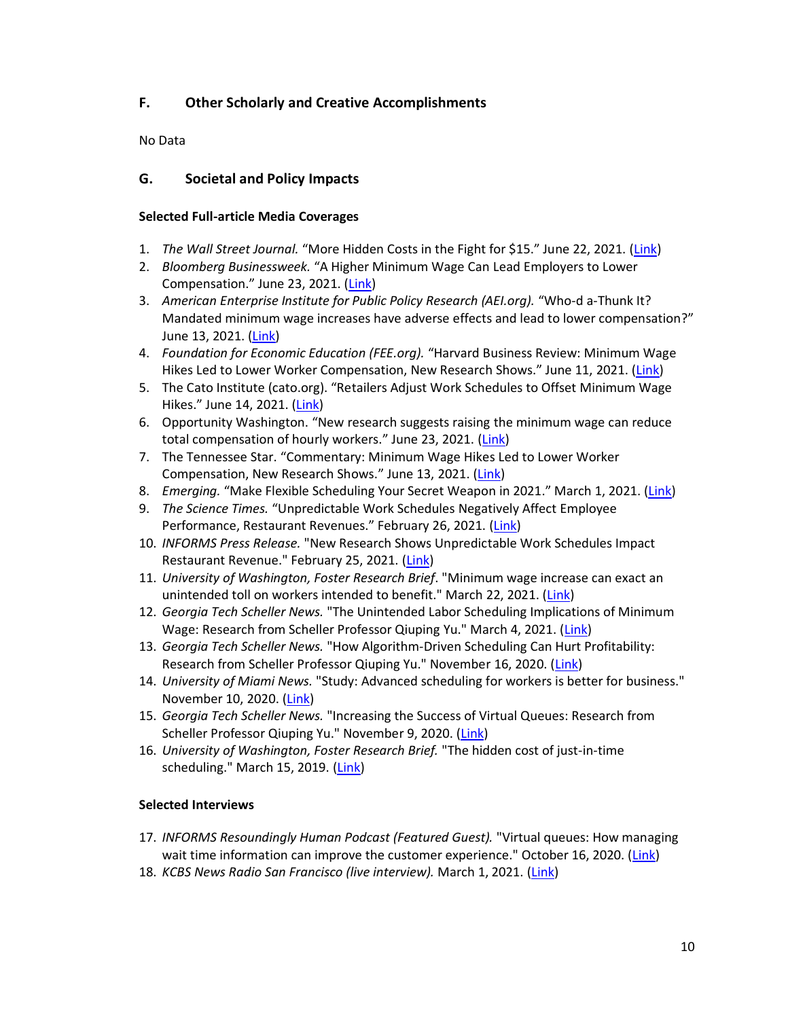## <span id="page-10-0"></span>**F. Other Scholarly and Creative Accomplishments**

No Data

#### <span id="page-10-1"></span>**G. Societal and Policy Impacts**

#### **Selected Full-article Media Coverages**

- 1. *The Wall Street Journal.* "More Hidden Costs in the Fight for \$15." June 22, 2021. ([Link\)](https://www.wsj.com/articles/more-hidden-costs-in-the-fight-for-15-11624401328)
- 2. *Bloomberg Businessweek.* "A Higher Minimum Wage Can Lead Employers to Lower Compensation." June 23, 2021. ([Link\)](https://www.bloomberg.com/news/articles/2021-06-23/a-higher-minimum-wage-can-lead-employers-to-lower-compensation)
- 3. *American Enterprise Institute for Public Policy Research (AEI.org).* "Who-d a-Thunk It? Mandated minimum wage increases have adverse effects and lead to lower compensation?" June 13, 2021. [\(Link\)](https://www.aei.org/carpe-diem/who-d-a-thunk-it-mandated-minimum-wage-increases-have-adverse-effects-and-lead-to-lower-compensation/)
- 4. *Foundation for Economic Education (FEE.org).* "Harvard Business Review: Minimum Wage Hikes Led to Lower Worker Compensation, New Research Shows." June 11, 2021. ([Link\)](https://fee.org/articles/harvard-business-review-minimum-wage-hikes-led-to-lower-worker-compensation-new-research-shows/)
- 5. The Cato Institute (cato.org). "Retailers Adjust Work Schedules to Offset Minimum Wage Hikes." June 14, 2021. ([Link\)](https://www.cato.org/blog/retailers-adjust-work-schedules-offset-minimum-wage-hikes)
- 6. Opportunity Washington. "New research suggests raising the minimum wage can reduce total compensation of hourly workers." June 23, 2021. ([Link\)](https://opportunitywa.org/new-research-suggests-raising-the-minimum-wage-can-reduce-total-compensation-of-hourly-workers/)
- 7. The Tennessee Star. "Commentary: Minimum Wage Hikes Led to Lower Worker Compensation, New Research Shows." June 13, 2021. ([Link\)](https://tennesseestar.com/2021/06/13/commentary-minimum-wage-hikes-led-to-lower-worker-compensation-new-research-shows/)
- 8. *Emerging.* "Make Flexible Scheduling Your Secret Weapon in 2021." March 1, 2021. ([Link\)](https://emerging.com/make-flexible-scheduling-your-secret-weapon-in-2021/)
- 9. *The Science Times.* "Unpredictable Work Schedules Negatively Affect Employee Performance, Restaurant Revenues." February 26, 2021. [\(Link\)](file:///C:/Users/qyu9gatech.edu/Dropbox%20(GaTech)/Admin/Tech%20Admin/Tenure/My%20Package/Submitting%20Packages/Unpredictable%20Work%20Schedules%20Negatively%20Affect%20Employee%20Performance,%20Restaurant%20Revenues)
- 10. *INFORMS Press Release.* "New Research Shows Unpredictable Work Schedules Impact Restaurant Revenue." February 25, 2021. [\(Link\)](https://www.informs.org/About-INFORMS/News-Room/Press-Releases/New-Research-Shows-Unpredictable-Work-Schedules-Impact-Restaurant-Revenue)
- 11. *University of Washington, Foster Research Brief*. "Minimum wage increase can exact an unintended toll on workers intended to benefit." March 22, 2021. [\(Link\)](https://foster.uw.edu/research-brief/minimum-wage-increase-can-exact-unintended-toll-workers-intended-benefit/)
- 12. *Georgia Tech Scheller News.* "The Unintended Labor Scheduling Implications of Minimum Wage: Research from Scheller Professor Qiuping Yu." March 4, 2021. [\(Link\)](https://www.scheller.gatech.edu/news-events/latest-news/2020/increasing-the-success-of-virtual-queues-research-from-scheller-professor-qiuping-yu.html)
- 13. *Georgia Tech Scheller News.* "How Algorithm-Driven Scheduling Can Hurt Profitability: Research from Scheller Professor Qiuping Yu." November 16, 2020. [\(Link\)](https://www.scheller.gatech.edu/news-events/latest-news/2020/how-algorithm-driven-scheduling-can-affect-profitability-research-from-scheller-professor-qiuping-yu.html)
- 14. *University of Miami News.* "Study: Advanced scheduling for workers is better for business." November 10, 2020. [\(Link\)](https://news.miami.edu/stories/2020/11/study-advanced-scheduling-for-workers-is-better-for-business.html)
- 15. *Georgia Tech Scheller News.* "Increasing the Success of Virtual Queues: Research from Scheller Professor Qiuping Yu." November 9, 2020. [\(Link\)](https://www.scheller.gatech.edu/news-events/latest-news/2020/increasing-the-success-of-virtual-queues-research-from-scheller-professor-qiuping-yu.html)
- 16. *University of Washington, Foster Research Brief.* "The hidden cost of just-in-time scheduling." March 15, 2019. [\(Link\)](https://foster.uw.edu/research-brief/hidden-cost-just-time-scheduling/)

#### **Selected Interviews**

- 17. *INFORMS Resoundingly Human Podcast (Featured Guest).* "Virtual queues: How managing wait time information can improve the customer experience." October 16, 2020. [\(Link\)](https://pubsonline.informs.org/do/10.1287/orms.2020.05.30p/full/)
- 18. *KCBS News Radio San Francisco (live interview).* March 1, 2021. [\(Link\)](https://www.audacy.com/kcbsradio)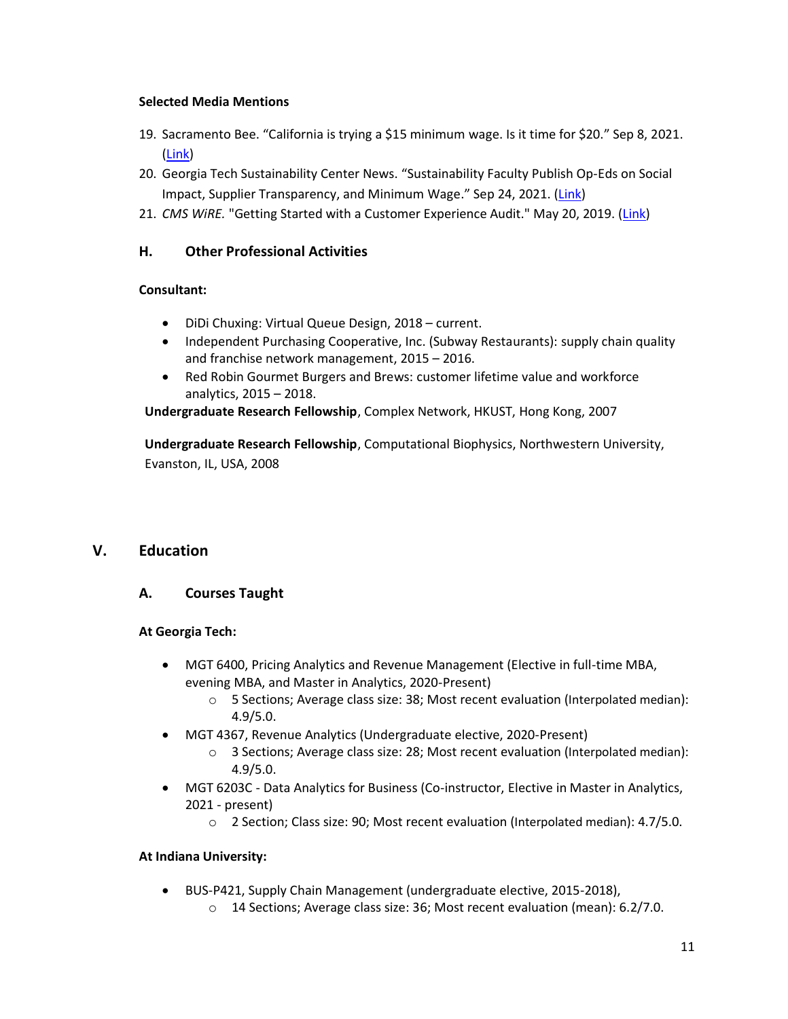#### **Selected Media Mentions**

- 19. Sacramento Bee. "California is trying a \$15 minimum wage. Is it time for \$20." Sep 8, 2021. [\(Link\)](https://account.sacbee.com/paywall/subscriber-only?resume=253228783)
- 20. Georgia Tech Sustainability Center News. "Sustainability Faculty Publish Op-Eds on Social Impact, Supplier Transparency, and Minimum Wage." Sep 24, 2021. ([Link\)](https://www.scheller.gatech.edu/centers-initiatives/ray-c-anderson-center-for-sustainable-business/news/articles/Sustainability-Faculty-Publish-Op-Eds-on-Social-Impact-Supplier-Transparency-and-Minimum-Wage.html)
- 21. *CMS WiRE.* "Getting Started with a Customer Experience Audit." May 20, 2019. [\(Link\)](https://www.cmswire.com/customer-experience/getting-started-with-a-customer-experience-audit/)

## <span id="page-11-0"></span>**H. Other Professional Activities**

#### **Consultant:**

- DiDi Chuxing: Virtual Queue Design, 2018 current.
- Independent Purchasing Cooperative, Inc. (Subway Restaurants): supply chain quality and franchise network management, 2015 – 2016.
- Red Robin Gourmet Burgers and Brews: customer lifetime value and workforce analytics, 2015 – 2018.

**Undergraduate Research Fellowship**, Complex Network, HKUST, Hong Kong, 2007

**Undergraduate Research Fellowship**, Computational Biophysics, Northwestern University, Evanston, IL, USA, 2008

## <span id="page-11-1"></span>**V. Education**

## <span id="page-11-2"></span>**A. Courses Taught**

#### **At Georgia Tech:**

- MGT 6400, Pricing Analytics and Revenue Management (Elective in full-time MBA, evening MBA, and Master in Analytics, 2020-Present)
	- o 5 Sections; Average class size: 38; Most recent evaluation (Interpolated median): 4.9/5.0.
- MGT 4367, Revenue Analytics (Undergraduate elective, 2020-Present)
	- o 3 Sections; Average class size: 28; Most recent evaluation (Interpolated median): 4.9/5.0.
- MGT 6203C Data Analytics for Business (Co-instructor, Elective in Master in Analytics, 2021 - present)
	- o 2 Section; Class size: 90; Most recent evaluation (Interpolated median): 4.7/5.0.

#### **At Indiana University:**

- BUS-P421, Supply Chain Management (undergraduate elective, 2015-2018),
	- o 14 Sections; Average class size: 36; Most recent evaluation (mean): 6.2/7.0.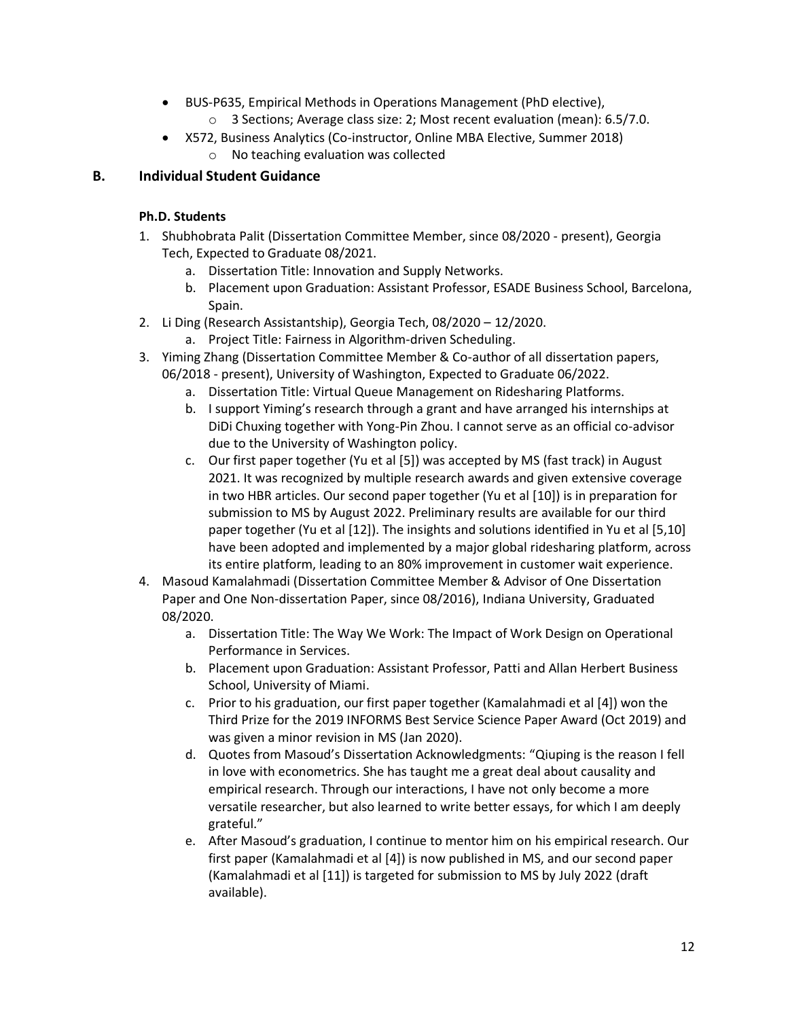- BUS-P635, Empirical Methods in Operations Management (PhD elective),
	- o 3 Sections; Average class size: 2; Most recent evaluation (mean): 6.5/7.0.
- X572, Business Analytics (Co-instructor, Online MBA Elective, Summer 2018)
	- o No teaching evaluation was collected

## <span id="page-12-0"></span>**B. Individual Student Guidance**

#### **Ph.D. Students**

- 1. Shubhobrata Palit (Dissertation Committee Member, since 08/2020 present), Georgia Tech, Expected to Graduate 08/2021.
	- a. Dissertation Title: Innovation and Supply Networks.
	- b. Placement upon Graduation: Assistant Professor, ESADE Business School, Barcelona, Spain.
- 2. Li Ding (Research Assistantship), Georgia Tech, 08/2020 12/2020.
	- a. Project Title: Fairness in Algorithm-driven Scheduling.
- 3. Yiming Zhang (Dissertation Committee Member & Co-author of all dissertation papers, 06/2018 - present), University of Washington, Expected to Graduate 06/2022.
	- a. Dissertation Title: Virtual Queue Management on Ridesharing Platforms.
	- b. I support Yiming's research through a grant and have arranged his internships at DiDi Chuxing together with Yong-Pin Zhou. I cannot serve as an official co-advisor due to the University of Washington policy.
	- c. Our first paper together (Yu et al [5]) was accepted by MS (fast track) in August 2021. It was recognized by multiple research awards and given extensive coverage in two HBR articles. Our second paper together (Yu et al [10]) is in preparation for submission to MS by August 2022. Preliminary results are available for our third paper together (Yu et al [12]). The insights and solutions identified in Yu et al [5,10] have been adopted and implemented by a major global ridesharing platform, across its entire platform, leading to an 80% improvement in customer wait experience.
- 4. Masoud Kamalahmadi (Dissertation Committee Member & Advisor of One Dissertation Paper and One Non-dissertation Paper, since 08/2016), Indiana University, Graduated 08/2020.
	- a. Dissertation Title: The Way We Work: The Impact of Work Design on Operational Performance in Services.
	- b. Placement upon Graduation: Assistant Professor, Patti and Allan Herbert Business School, University of Miami.
	- c. Prior to his graduation, our first paper together (Kamalahmadi et al [4]) won the Third Prize for the 2019 INFORMS Best Service Science Paper Award (Oct 2019) and was given a minor revision in MS (Jan 2020).
	- d. Quotes from Masoud's Dissertation Acknowledgments: "Qiuping is the reason I fell in love with econometrics. She has taught me a great deal about causality and empirical research. Through our interactions, I have not only become a more versatile researcher, but also learned to write better essays, for which I am deeply grateful."
	- e. After Masoud's graduation, I continue to mentor him on his empirical research. Our first paper (Kamalahmadi et al [4]) is now published in MS, and our second paper (Kamalahmadi et al [11]) is targeted for submission to MS by July 2022 (draft available).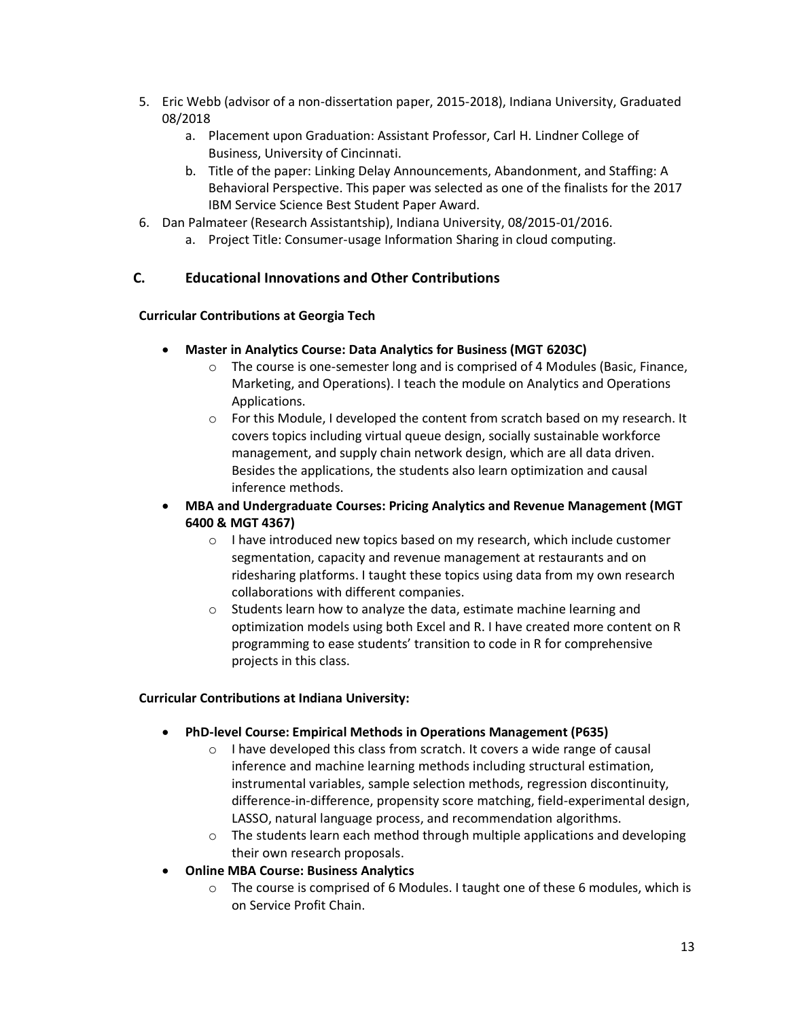- 5. Eric Webb (advisor of a non-dissertation paper, 2015-2018), Indiana University, Graduated 08/2018
	- a. Placement upon Graduation: Assistant Professor, Carl H. Lindner College of Business, University of Cincinnati.
	- b. Title of the paper: Linking Delay Announcements, Abandonment, and Staffing: A Behavioral Perspective. This paper was selected as one of the finalists for the 2017 IBM Service Science Best Student Paper Award.
- 6. Dan Palmateer (Research Assistantship), Indiana University, 08/2015-01/2016.
	- a. Project Title: Consumer-usage Information Sharing in cloud computing.

#### <span id="page-13-0"></span>**C. Educational Innovations and Other Contributions**

#### **Curricular Contributions at Georgia Tech**

- **Master in Analytics Course: Data Analytics for Business (MGT 6203C)**
	- $\circ$  The course is one-semester long and is comprised of 4 Modules (Basic, Finance, Marketing, and Operations). I teach the module on Analytics and Operations Applications.
	- o For this Module, I developed the content from scratch based on my research. It covers topics including virtual queue design, socially sustainable workforce management, and supply chain network design, which are all data driven. Besides the applications, the students also learn optimization and causal inference methods.
- **MBA and Undergraduate Courses: Pricing Analytics and Revenue Management (MGT 6400 & MGT 4367)**
	- $\circ$  I have introduced new topics based on my research, which include customer segmentation, capacity and revenue management at restaurants and on ridesharing platforms. I taught these topics using data from my own research collaborations with different companies.
	- o Students learn how to analyze the data, estimate machine learning and optimization models using both Excel and R. I have created more content on R programming to ease students' transition to code in R for comprehensive projects in this class.

#### **Curricular Contributions at Indiana University:**

- **PhD-level Course: Empirical Methods in Operations Management (P635)**
	- o I have developed this class from scratch. It covers a wide range of causal inference and machine learning methods including structural estimation, instrumental variables, sample selection methods, regression discontinuity, difference-in-difference, propensity score matching, field-experimental design, LASSO, natural language process, and recommendation algorithms.
	- o The students learn each method through multiple applications and developing their own research proposals.
- **Online MBA Course: Business Analytics**
	- o The course is comprised of 6 Modules. I taught one of these 6 modules, which is on Service Profit Chain.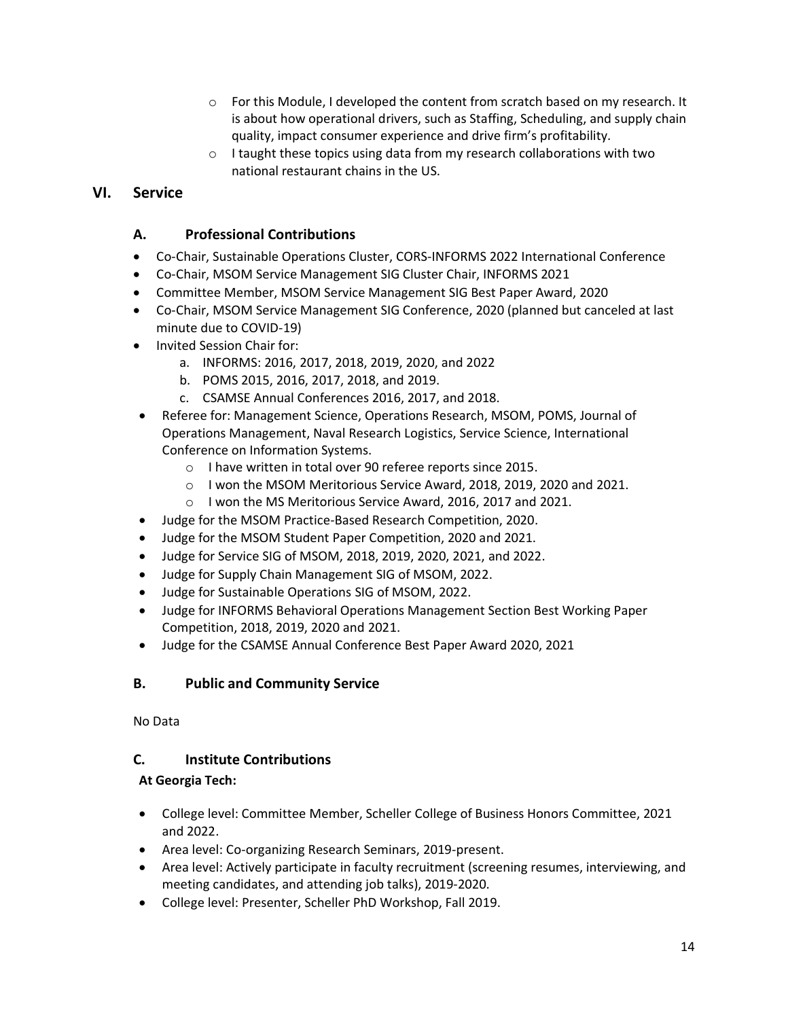- o For this Module, I developed the content from scratch based on my research. It is about how operational drivers, such as Staffing, Scheduling, and supply chain quality, impact consumer experience and drive firm's profitability.
- o I taught these topics using data from my research collaborations with two national restaurant chains in the US.

## <span id="page-14-1"></span><span id="page-14-0"></span>**VI. Service**

#### **A. Professional Contributions**

- Co-Chair, Sustainable Operations Cluster, CORS-INFORMS 2022 International Conference
- Co-Chair, MSOM Service Management SIG Cluster Chair, INFORMS 2021
- Committee Member, MSOM Service Management SIG Best Paper Award, 2020
- Co-Chair, MSOM Service Management SIG Conference, 2020 (planned but canceled at last minute due to COVID-19)
- Invited Session Chair for:
	- a. INFORMS: 2016, 2017, 2018, 2019, 2020, and 2022
	- b. POMS 2015, 2016, 2017, 2018, and 2019.
	- c. CSAMSE Annual Conferences 2016, 2017, and 2018.
- Referee for: Management Science, Operations Research, MSOM, POMS, Journal of Operations Management, Naval Research Logistics, Service Science, International Conference on Information Systems.
	- o I have written in total over 90 referee reports since 2015.
	- o I won the MSOM Meritorious Service Award, 2018, 2019, 2020 and 2021.
	- o I won the MS Meritorious Service Award, 2016, 2017 and 2021.
- Judge for the MSOM Practice-Based Research Competition, 2020.
- Judge for the MSOM Student Paper Competition, 2020 and 2021.
- Judge for Service SIG of MSOM, 2018, 2019, 2020, 2021, and 2022.
- Judge for Supply Chain Management SIG of MSOM, 2022.
- Judge for Sustainable Operations SIG of MSOM, 2022.
- Judge for INFORMS Behavioral Operations Management Section Best Working Paper Competition, 2018, 2019, 2020 and 2021.
- Judge for the CSAMSE Annual Conference Best Paper Award 2020, 2021

#### <span id="page-14-2"></span>**B. Public and Community Service**

No Data

## <span id="page-14-3"></span>**C. Institute Contributions**

#### **At Georgia Tech:**

- College level: Committee Member, Scheller College of Business Honors Committee, 2021 and 2022.
- Area level: Co-organizing Research Seminars, 2019-present.
- Area level: Actively participate in faculty recruitment (screening resumes, interviewing, and meeting candidates, and attending job talks), 2019-2020.
- College level: Presenter, Scheller PhD Workshop, Fall 2019.